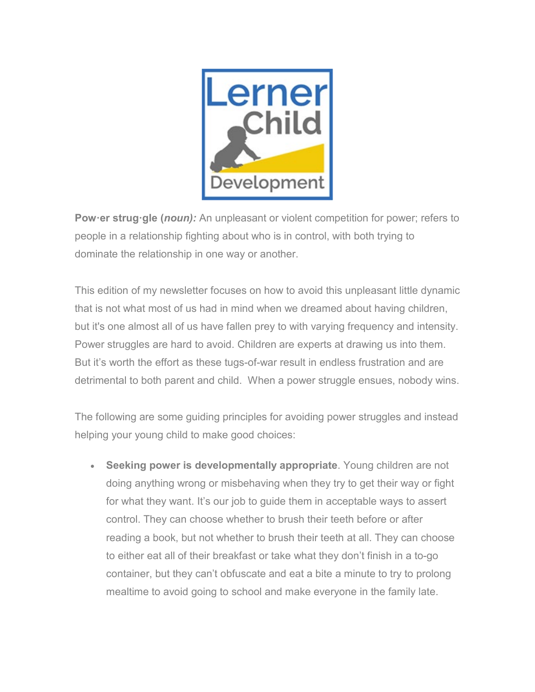

**Pow·er strug·gle (***noun):* An unpleasant or violent competition for power; refers to people in a relationship fighting about who is in control, with both trying to dominate the relationship in one way or another.

This edition of my newsletter focuses on how to avoid this unpleasant little dynamic that is not what most of us had in mind when we dreamed about having children, but it's one almost all of us have fallen prey to with varying frequency and intensity. Power struggles are hard to avoid. Children are experts at drawing us into them. But it's worth the effort as these tugs-of-war result in endless frustration and are detrimental to both parent and child. When a power struggle ensues, nobody wins.

The following are some guiding principles for avoiding power struggles and instead helping your young child to make good choices:

• **Seeking power is developmentally appropriate**. Young children are not doing anything wrong or misbehaving when they try to get their way or fight for what they want. It's our job to guide them in acceptable ways to assert control. They can choose whether to brush their teeth before or after reading a book, but not whether to brush their teeth at all. They can choose to either eat all of their breakfast or take what they don't finish in a to-go container, but they can't obfuscate and eat a bite a minute to try to prolong mealtime to avoid going to school and make everyone in the family late.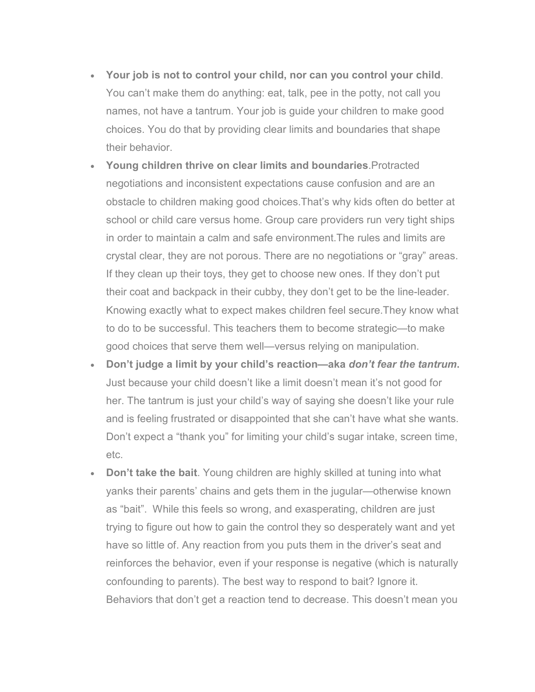- **Your job is not to control your child, nor can you control your child**. You can't make them do anything: eat, talk, pee in the potty, not call you names, not have a tantrum. Your job is guide your children to make good choices. You do that by providing clear limits and boundaries that shape their behavior.
- **Young children thrive on clear limits and boundaries**.Protracted negotiations and inconsistent expectations cause confusion and are an obstacle to children making good choices.That's why kids often do better at school or child care versus home. Group care providers run very tight ships in order to maintain a calm and safe environment.The rules and limits are crystal clear, they are not porous. There are no negotiations or "gray" areas. If they clean up their toys, they get to choose new ones. If they don't put their coat and backpack in their cubby, they don't get to be the line-leader. Knowing exactly what to expect makes children feel secure.They know what to do to be successful. This teachers them to become strategic—to make good choices that serve them well—versus relying on manipulation.
- **Don't judge a limit by your child's reaction—aka** *don't fear the tantrum***.**  Just because your child doesn't like a limit doesn't mean it's not good for her. The tantrum is just your child's way of saying she doesn't like your rule and is feeling frustrated or disappointed that she can't have what she wants. Don't expect a "thank you" for limiting your child's sugar intake, screen time, etc.
- **Don't take the bait**. Young children are highly skilled at tuning into what yanks their parents' chains and gets them in the jugular—otherwise known as "bait". While this feels so wrong, and exasperating, children are just trying to figure out how to gain the control they so desperately want and yet have so little of. Any reaction from you puts them in the driver's seat and reinforces the behavior, even if your response is negative (which is naturally confounding to parents). The best way to respond to bait? Ignore it. Behaviors that don't get a reaction tend to decrease. This doesn't mean you